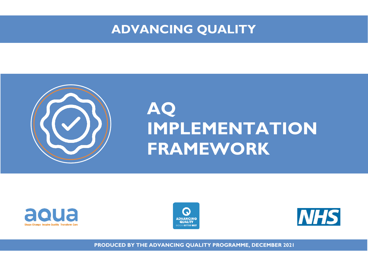## **ADVANCING QUALITY**



## **AQ IMPLEMENTATION FRAMEWORK**







**PRODUCED BY THE ADVANCING QUALITY PROGRAMME, DECEMBER 2021**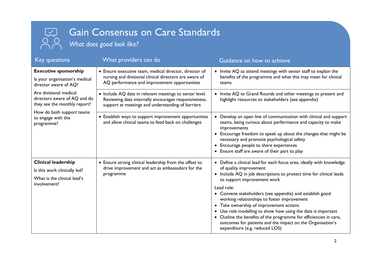## Gain Consensus on Care Standards

*What does good look like?*

 $\overline{a}$ 

 $\sqrt{2}$ 

| <b>Key questions</b>                                                                                                                                    | What providers can do                                                                                                                                                | Guidance on how to achieve                                                                                                                                                                                                                                                                                                                                                                                                                                                                                                                                                                                             |
|---------------------------------------------------------------------------------------------------------------------------------------------------------|----------------------------------------------------------------------------------------------------------------------------------------------------------------------|------------------------------------------------------------------------------------------------------------------------------------------------------------------------------------------------------------------------------------------------------------------------------------------------------------------------------------------------------------------------------------------------------------------------------------------------------------------------------------------------------------------------------------------------------------------------------------------------------------------------|
| <b>Executive sponsorship</b><br>Is your organisation's medical<br>director aware of AQ?                                                                 | • Ensure executive team, medical director, director of<br>nursing and divisional clinical directors are aware of<br>AQ performance and improvement opportunities     | • Invite AQ to attend meetings with senior staff to explain the<br>benefits of the programme and what this may mean for clinical<br>teams                                                                                                                                                                                                                                                                                                                                                                                                                                                                              |
| Are divisional medical<br>directors aware of AQ and do<br>they see the monthly report?<br>How do both support teams<br>to engage with the<br>programme? | • Include AQ data in relevant meetings to senior level.<br>Reviewing data internally encourages responsiveness,<br>support at meetings and understanding of barriers | • Invite AQ to Grand Rounds and other meetings to present and<br>highlight resources to stakeholders (see appendix)                                                                                                                                                                                                                                                                                                                                                                                                                                                                                                    |
|                                                                                                                                                         | • Establish ways to support improvement opportunities<br>and allow clinical teams to feed back on challenges                                                         | Develop an open line of communication with clinical and support<br>teams, being curious about performance and capacity to make<br>improvements<br>• Encourage freedom to speak up about the changes that might be<br>necessary and promote psychological safety<br>• Encourage people to share experiences<br>• Ensure staff are aware of their part to play                                                                                                                                                                                                                                                           |
| <b>Clinical leadership</b><br>Is this work clinically led?<br>What is the clinical lead's<br>involvement?                                               | • Ensure strong clinical leadership from the offset to<br>drive improvement and act as ambassadors for the<br>programme                                              | • Define a clinical lead for each focus area, ideally with knowledge<br>of quality improvement<br>• Include AQ in job descriptions to protect time for clinical leads<br>to support improvement work<br>Lead role:<br>• Convene stakeholders (see appendix) and establish good<br>working relationships to foster improvement<br>Take ownership of improvement actions<br>$\bullet$<br>Use role modelling to show how using the data is important<br>• Outline the benefits of the programme for efficiencies in care,<br>outcomes for patients and the impact on the Organisation's<br>expenditure (e.g. reduced LOS) |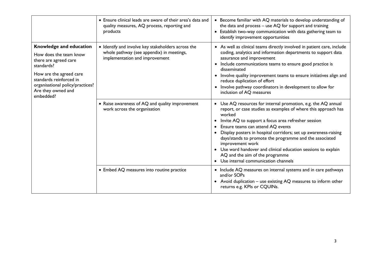|                                                                                                                                                                                                                       | • Ensure clinical leads are aware of their area's data and<br>quality measures, AQ process, reporting and<br>products             | • Become familiar with AQ materials to develop understanding of<br>the data and process $-$ use AQ for support and training<br>• Establish two-way communication with data gathering team to<br>identify improvement opportunities                                                                                                                                                                                                                                                                                                    |
|-----------------------------------------------------------------------------------------------------------------------------------------------------------------------------------------------------------------------|-----------------------------------------------------------------------------------------------------------------------------------|---------------------------------------------------------------------------------------------------------------------------------------------------------------------------------------------------------------------------------------------------------------------------------------------------------------------------------------------------------------------------------------------------------------------------------------------------------------------------------------------------------------------------------------|
| Knowledge and education<br>How does the team know<br>there are agreed care<br>standards?<br>How are the agreed care<br>standards reinforced in<br>organisational policy/practices?<br>Are they owned and<br>embedded? | • Identify and involve key stakeholders across the<br>whole pathway (see appendix) in meetings,<br>implementation and improvement | • As well as clinical teams directly involved in patient care, include<br>coding, analytics and information departments to support data<br>assurance and improvement<br>• Include communications teams to ensure good practice is<br>disseminated<br>• Involve quality improvement teams to ensure initiatives align and<br>reduce duplication of effort<br>Involve pathway coordinators in development to allow for<br>$\bullet$<br>inclusion of AQ measures                                                                         |
|                                                                                                                                                                                                                       | • Raise awareness of AQ and quality improvement<br>work across the organisation                                                   | • Use AQ resources for internal promotion, e.g. the AQ annual<br>report, or case studies as examples of where this approach has<br>worked<br>Invite AQ to support a focus area refresher session<br>Ensure teams can attend AQ events<br>Display posters in hospital corridors; set up awareness-raising<br>days/stands to promote the programme and the associated<br>improvement work<br>• Use ward handover and clinical education sessions to explain<br>AQ and the aim of the programme<br>• Use internal communication channels |
|                                                                                                                                                                                                                       | • Embed AQ measures into routine practice                                                                                         | • Include AQ measures on internal systems and in care pathways<br>and/or SOPs<br>• Avoid duplication - use existing AQ measures to inform other<br>returns e.g. KPIs or CQUINs.                                                                                                                                                                                                                                                                                                                                                       |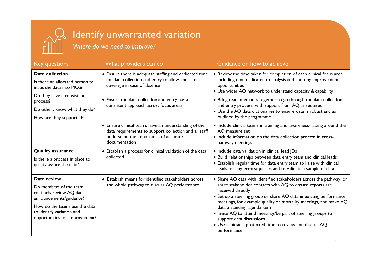

## Identify unwarranted variation

*Where do we need to improve?*

| <b>Key questions</b>                                                                                                                                                                         | What providers can do                                                                                                                                                   | Guidance on how to achieve                                                                                                                                                                                                                                                                                                                                                                                                                                                                            |
|----------------------------------------------------------------------------------------------------------------------------------------------------------------------------------------------|-------------------------------------------------------------------------------------------------------------------------------------------------------------------------|-------------------------------------------------------------------------------------------------------------------------------------------------------------------------------------------------------------------------------------------------------------------------------------------------------------------------------------------------------------------------------------------------------------------------------------------------------------------------------------------------------|
| <b>Data collection</b><br>Is there an allocated person to<br>input the data into PIQS?<br>Do they have a consistent<br>process?<br>Do others know what they do?<br>How are they supported?   | • Ensure there is adequate staffing and dedicated time<br>for data collection and entry to allow consistent<br>coverage in case of absence                              | • Review the time taken for completion of each clinical focus area,<br>including time dedicated to analysis and spotting improvement<br>opportunities<br>• Use wider AQ network to understand capacity & capability                                                                                                                                                                                                                                                                                   |
|                                                                                                                                                                                              | • Ensure the data collection and entry has a<br>consistent approach across focus areas                                                                                  | • Bring team members together to go through the data collection<br>and entry process, with support from AQ as required<br>• Use the AQ data dictionaries to ensure data is robust and as<br>outlined by the programme                                                                                                                                                                                                                                                                                 |
|                                                                                                                                                                                              | • Ensure clinical teams have an understanding of the<br>data requirements to support collection and all staff<br>understand the importance of accurate<br>documentation | • Include clinical teams in training and awareness-raising around the<br>AQ measure set<br>• Include information on the data collection process in cross-<br>pathway meetings                                                                                                                                                                                                                                                                                                                         |
| <b>Quality assurance</b><br>Is there a process in place to<br>quality assure the data?                                                                                                       | • Establish a process for clinical validation of the data<br>collected                                                                                                  | · Include data validation in clinical lead JDs<br>· Build relationships between data entry team and clinical leads<br>• Establish regular time for data entry team to liaise with clinical<br>leads for any errors/queries and to validate a sample of data                                                                                                                                                                                                                                           |
| Data review<br>Do members of the team<br>routinely review AQ data<br>announcements/guidance?<br>How do the teams use the data<br>to identify variation and<br>opportunities for improvement? | • Establish means for identified stakeholders across<br>the whole pathway to discuss AQ performance                                                                     | • Share AQ data with identified stakeholders across the pathway, or<br>share stakeholder contacts with AQ to ensure reports are<br>received directly<br>• Set up a steering group or share AQ data in existing performance<br>meetings, for example quality or mortality meetings, and make AQ<br>data a standing agenda item<br>• Invite AQ to attend meetings/be part of steering groups to<br>support data discussions<br>• Use clinicians' protected time to review and discuss AQ<br>performance |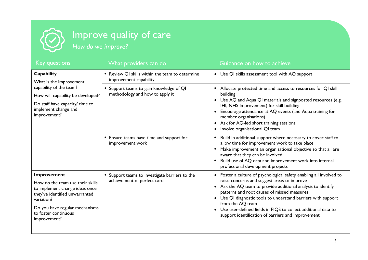

| <b>Key questions</b>                                                                                                                                                                                        | What providers can do                                                       | Guidance on how to achieve                                                                                                                                                                                                                                                                                                                                                                                                                                        |
|-------------------------------------------------------------------------------------------------------------------------------------------------------------------------------------------------------------|-----------------------------------------------------------------------------|-------------------------------------------------------------------------------------------------------------------------------------------------------------------------------------------------------------------------------------------------------------------------------------------------------------------------------------------------------------------------------------------------------------------------------------------------------------------|
| Capability<br>What is the improvement<br>capability of the team?<br>How will capability be developed?<br>Do staff have capacity/ time to<br>implement change and<br>improvement?                            | • Review QI skills within the team to determine<br>improvement capability   | Use QI skills assessment tool with AQ support<br>$\bullet$                                                                                                                                                                                                                                                                                                                                                                                                        |
|                                                                                                                                                                                                             | • Support teams to gain knowledge of QI<br>methodology and how to apply it  | Allocate protected time and access to resources for QI skill<br>building<br>Use AQ and Aqua QI materials and signposted resources (e.g.<br>IHI, NHS Improvement) for skill building<br>Encourage attendance at AQ events (and Aqua training for<br>member organisations)<br>Ask for AQ-led short training sessions<br>Involve organisational QI team                                                                                                              |
|                                                                                                                                                                                                             | • Ensure teams have time and support for<br>improvement work                | Build in additional support where necessary to cover staff to<br>allow time for improvement work to take place<br>Make improvement an organisational objective so that all are<br>aware that they can be involved<br>Build use of AQ data and improvement work into internal<br>professional development projects                                                                                                                                                 |
| Improvement<br>How do the team use their skills<br>to implement change ideas once<br>they've identified unwarranted<br>variation?<br>Do you have regular mechanisms<br>to foster continuous<br>improvement? | Support teams to investigate barriers to the<br>achievement of perfect care | Foster a culture of psychological safety enabling all involved to<br>$\bullet$<br>raise concerns and suggest areas to improve<br>Ask the AQ team to provide additional analysis to identify<br>patterns and root causes of missed measures<br>Use QI diagnostic tools to understand barriers with support<br>$\bullet$<br>from the AQ team<br>Use user-defined fields in PIQS to collect additional data to<br>support identification of barriers and improvement |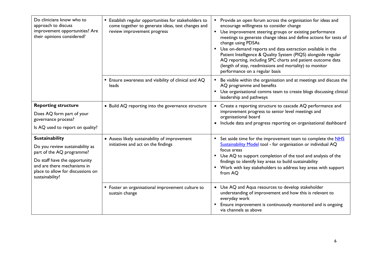| Do clinicians know who to<br>approach to discuss<br>improvement opportunities? Are<br>their opinions considered?                                                                                              | • Establish regular opportunities for stakeholders to<br>come together to generate ideas, test changes and<br>review improvement progress | • Provide an open forum across the organisation for ideas and<br>encourage willingness to consider change<br>• Use improvement steering groups or existing performance<br>meetings to generate change ideas and define actions for tests of<br>change using PDSAs<br>• Use on-demand reports and data extraction available in the<br>Patient Intelligence & Quality System (PIQS) alongside regular<br>AQ reporting, including SPC charts and patient outcome data<br>(length of stay, readmissions and mortality) to monitor<br>performance on a regular basis |
|---------------------------------------------------------------------------------------------------------------------------------------------------------------------------------------------------------------|-------------------------------------------------------------------------------------------------------------------------------------------|-----------------------------------------------------------------------------------------------------------------------------------------------------------------------------------------------------------------------------------------------------------------------------------------------------------------------------------------------------------------------------------------------------------------------------------------------------------------------------------------------------------------------------------------------------------------|
|                                                                                                                                                                                                               | • Ensure awareness and visibility of clinical and AQ<br>leads                                                                             | Be visible within the organisation and at meetings and discuss the<br>AQ programme and benefits<br>Use organisational comms team to create blogs discussing clinical<br>$\bullet$<br>leadership and pathways                                                                                                                                                                                                                                                                                                                                                    |
| <b>Reporting structure</b><br>Does AQ form part of your<br>governance process?<br>Is AQ used to report on quality?                                                                                            | • Build AQ reporting into the governance structure                                                                                        | • Create a reporting structure to cascade AQ performance and<br>improvement progress to senior level meetings and<br>organisational board<br>• Include data and progress reporting on organisational dashboard                                                                                                                                                                                                                                                                                                                                                  |
| <b>Sustainability</b><br>Do you review sustainability as<br>part of the AQ programme?<br>Do staff have the opportunity<br>and are there mechanisms in<br>place to allow for discussions on<br>sustainability? | • Assess likely sustainability of improvement<br>initiatives and act on the findings                                                      | Set aside time for the improvement team to complete the NHS<br>$\bullet$<br>Sustainability Model tool - for organisation or individual AQ<br>focus areas<br>Use AQ to support completion of the tool and analysis of the<br>$\bullet$<br>findings to identify key areas to build sustainability<br>• Work with key stakeholders to address key areas with support<br>from AO                                                                                                                                                                                    |
|                                                                                                                                                                                                               | • Foster an organisational improvement culture to<br>sustain change                                                                       | • Use AQ and Aqua resources to develop stakeholder<br>understanding of improvement and how this is relevant to<br>everyday work<br>Ensure improvement is continuously monitored and is ongoing<br>via channels as above                                                                                                                                                                                                                                                                                                                                         |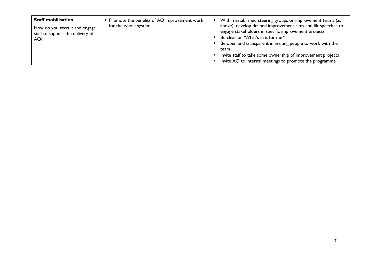| <b>Staff mobilisation</b><br>How do you recruit and engage<br>staff to support the delivery of<br>AQ? | Promote the benefits of AQ improvement work<br>for the whole system | Within established steering groups or improvement teams (as<br>above), develop defined improvement aims and lift speeches to<br>engage stakeholders in specific improvement projects<br>Be clear on 'What's in it for me?'<br>Be open and transparent in inviting people to work with the<br>team<br>Invite staff to take some ownership of improvement projects |
|-------------------------------------------------------------------------------------------------------|---------------------------------------------------------------------|------------------------------------------------------------------------------------------------------------------------------------------------------------------------------------------------------------------------------------------------------------------------------------------------------------------------------------------------------------------|
|                                                                                                       |                                                                     | Invite AQ to internal meetings to promote the programme                                                                                                                                                                                                                                                                                                          |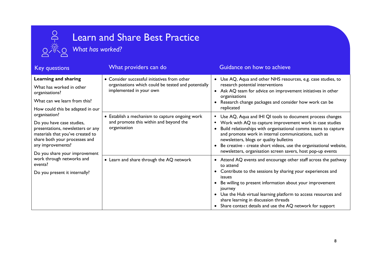# **Produced Strain and Strain and Strain and Strain and Strain and Strain and Strain and Strain and Strain and Strain and Strain and Strain and Strain and Strain and Strain and Strain and Strain and Strain and Strain and Str**

## Learn and Share Best Practice

| <b>Key questions</b>                                                                                                                                     | What providers can do                                                                                                          | Guidance on how to achieve                                                                                                                                                                                                                                                                                       |
|----------------------------------------------------------------------------------------------------------------------------------------------------------|--------------------------------------------------------------------------------------------------------------------------------|------------------------------------------------------------------------------------------------------------------------------------------------------------------------------------------------------------------------------------------------------------------------------------------------------------------|
| Learning and sharing                                                                                                                                     | • Consider successful initiatives from other<br>organisations which could be tested and potentially<br>implemented in your own | • Use AQ, Aqua and other NHS resources, e.g. case studies, to<br>research potential interventions<br>Ask AQ team for advice on improvement initiatives in other<br>organisations                                                                                                                                 |
| What has worked in other<br>organisations?                                                                                                               |                                                                                                                                |                                                                                                                                                                                                                                                                                                                  |
| What can we learn from this?                                                                                                                             |                                                                                                                                | Research change packages and consider how work can be                                                                                                                                                                                                                                                            |
| How could this be adapted in our                                                                                                                         |                                                                                                                                | replicated                                                                                                                                                                                                                                                                                                       |
| organisation?                                                                                                                                            | • Establish a mechanism to capture ongoing work                                                                                | Use AQ, Aqua and IHI QI tools to document process changes                                                                                                                                                                                                                                                        |
| Do you have case studies,<br>presentations, newsletters or any<br>materials that you've created to<br>share both your processes and<br>any improvements? | and promote this within and beyond the<br>organisation                                                                         | Work with AQ to capture improvement work in case studies<br>$\bullet$<br>Build relationships with organisational comms teams to capture<br>and promote work in internal communications, such as<br>newsletters, blogs or quality bulletins<br>Be creative - create short videos, use the organisational website, |
| Do you share your improvement<br>work through networks and<br>events?                                                                                    |                                                                                                                                | newsletters, organisation screen savers, host pop-up events                                                                                                                                                                                                                                                      |
|                                                                                                                                                          | • Learn and share through the AQ network                                                                                       | Attend AQ events and encourage other staff across the pathway<br>$\bullet$<br>to attend                                                                                                                                                                                                                          |
| Do you present it internally?                                                                                                                            |                                                                                                                                | Contribute to the sessions by sharing your experiences and<br>$\bullet$<br>issues                                                                                                                                                                                                                                |
|                                                                                                                                                          |                                                                                                                                | Be willing to present information about your improvement<br>journey                                                                                                                                                                                                                                              |
|                                                                                                                                                          |                                                                                                                                | Use the Hub virtual learning platform to access resources and<br>share learning in discussion threads                                                                                                                                                                                                            |
|                                                                                                                                                          |                                                                                                                                | Share contact details and use the AQ network for support                                                                                                                                                                                                                                                         |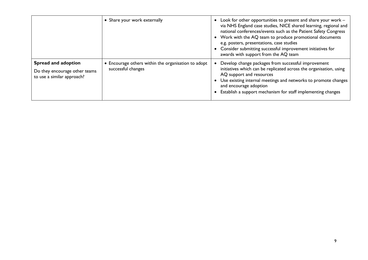|                                                                                    | • Share your work externally                                              | Look for other opportunities to present and share your work -<br>via NHS England case studies, NICE shared learning, regional and<br>national conferences/events such as the Patient Safety Congress<br>• Work with the AQ team to produce promotional documents<br>e.g. posters, presentations, case studies<br>Consider submitting successful improvement initiatives for<br>awards with support from the AQ team |
|------------------------------------------------------------------------------------|---------------------------------------------------------------------------|---------------------------------------------------------------------------------------------------------------------------------------------------------------------------------------------------------------------------------------------------------------------------------------------------------------------------------------------------------------------------------------------------------------------|
| Spread and adoption<br>Do they encourage other teams<br>to use a similar approach? | • Encourage others within the organisation to adopt<br>successful changes | Develop change packages from successful improvement<br>initiatives which can be replicated across the organisation, using<br>AQ support and resources<br>Use existing internal meetings and networks to promote changes<br>and encourage adoption<br>Establish a support mechanism for staff implementing changes                                                                                                   |